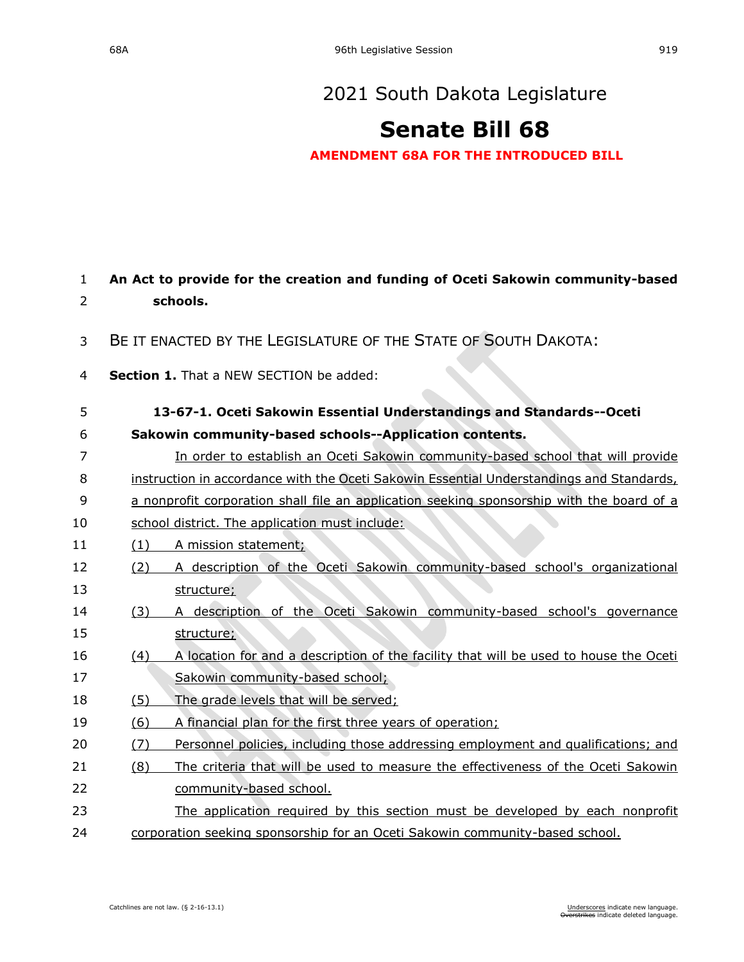# **[Senate Bill 68](https://sdlegislature.gov/Session/Bill/21812)**

**AMENDMENT 68A FOR THE INTRODUCED BILL**

| 1  |     | An Act to provide for the creation and funding of Oceti Sakowin community-based           |
|----|-----|-------------------------------------------------------------------------------------------|
| 2  |     | schools.                                                                                  |
| 3  |     | BE IT ENACTED BY THE LEGISLATURE OF THE STATE OF SOUTH DAKOTA:                            |
| 4  |     | Section 1. That a NEW SECTION be added:                                                   |
| 5  |     | 13-67-1. Oceti Sakowin Essential Understandings and Standards--Oceti                      |
| 6  |     | Sakowin community-based schools--Application contents.                                    |
| 7  |     | In order to establish an Oceti Sakowin community-based school that will provide           |
| 8  |     | instruction in accordance with the Oceti Sakowin Essential Understandings and Standards,  |
| 9  |     | a nonprofit corporation shall file an application seeking sponsorship with the board of a |
| 10 |     | school district. The application must include:                                            |
| 11 | (1) | A mission statement;                                                                      |
| 12 | (2) | A description of the Oceti Sakowin community-based school's organizational                |
| 13 |     | structure;                                                                                |
| 14 | (3) | A description of the Oceti Sakowin community-based school's governance                    |
| 15 |     | structure;                                                                                |
| 16 | (4) | A location for and a description of the facility that will be used to house the Oceti     |
| 17 |     | Sakowin community-based school;                                                           |
| 18 | (5) | The grade levels that will be served;                                                     |
| 19 | (6) | A financial plan for the first three years of operation;                                  |
| 20 | (7) | Personnel policies, including those addressing employment and qualifications; and         |
| 21 | (8) | The criteria that will be used to measure the effectiveness of the Oceti Sakowin          |
| 22 |     | community-based school.                                                                   |
| 23 |     | The application required by this section must be developed by each nonprofit              |
| 24 |     | corporation seeking sponsorship for an Oceti Sakowin community-based school.              |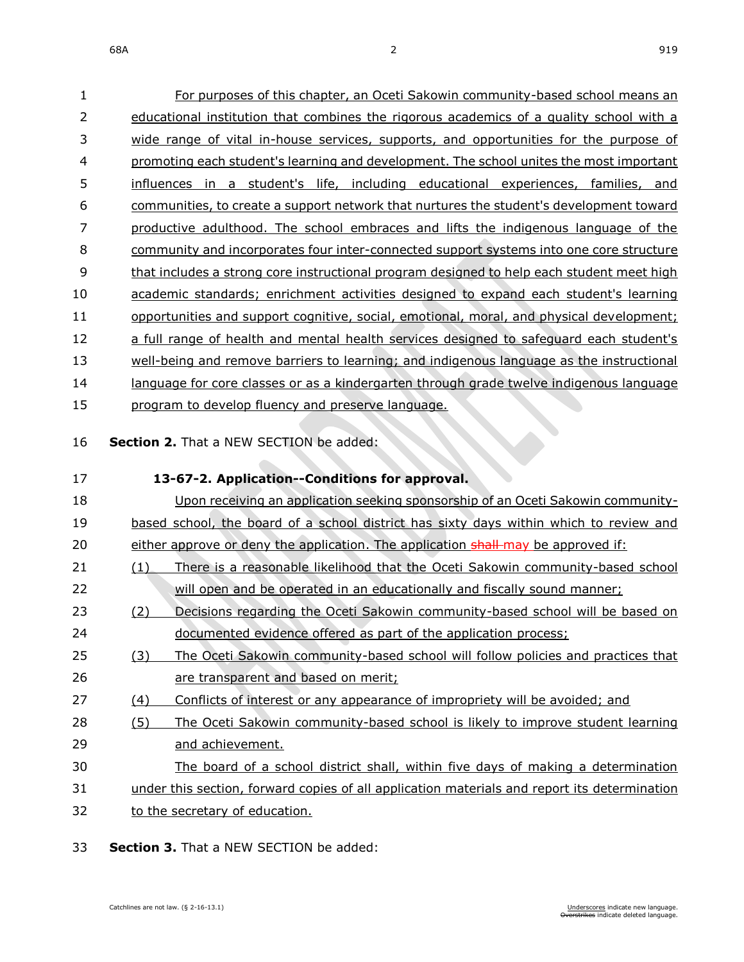| 1              | For purposes of this chapter, an Oceti Sakowin community-based school means an               |
|----------------|----------------------------------------------------------------------------------------------|
| $\overline{2}$ | educational institution that combines the rigorous academics of a quality school with a      |
| 3              | wide range of vital in-house services, supports, and opportunities for the purpose of        |
| 4              | promoting each student's learning and development. The school unites the most important      |
| 5              | influences in a student's life, including educational experiences, families, and             |
| 6              | communities, to create a support network that nurtures the student's development toward      |
| 7              | productive adulthood. The school embraces and lifts the indigenous language of the           |
| 8              | community and incorporates four inter-connected support systems into one core structure      |
| 9              | that includes a strong core instructional program designed to help each student meet high    |
| 10             | academic standards; enrichment activities designed to expand each student's learning         |
| 11             | opportunities and support cognitive, social, emotional, moral, and physical development;     |
| 12             | a full range of health and mental health services designed to safeguard each student's       |
| 13             | well-being and remove barriers to learning; and indigenous language as the instructional     |
| 14             | language for core classes or as a kindergarten through grade twelve indigenous language      |
| 15             | program to develop fluency and preserve language.                                            |
|                |                                                                                              |
| 16             | Section 2. That a NEW SECTION be added:                                                      |
| 17             | 13-67-2. Application--Conditions for approval.                                               |
| 18             | Upon receiving an application seeking sponsorship of an Oceti Sakowin community-             |
| 19             | based school, the board of a school district has sixty days within which to review and       |
| 20             | either approve or deny the application. The application shall-may be approved if:            |
| 21             | There is a reasonable likelihood that the Oceti Sakowin community-based school<br>(1)        |
| 22             | will open and be operated in an educationally and fiscally sound manner;                     |
| 23             | Decisions regarding the Oceti Sakowin community-based school will be based on<br>(2)         |
| 24             | documented evidence offered as part of the application process;                              |
| 25             | The Oceti Sakowin community-based school will follow policies and practices that<br>(3)      |
| 26             | are transparent and based on merit;                                                          |
| 27             | Conflicts of interest or any appearance of impropriety will be avoided; and<br>(4)           |
| 28             | The Oceti Sakowin community-based school is likely to improve student learning<br>(5)        |
| 29             | and achievement.                                                                             |
| 30             | The board of a school district shall, within five days of making a determination             |
| 31             | under this section, forward copies of all application materials and report its determination |
| 32             | to the secretary of education.                                                               |

**Section 3.** That a NEW SECTION be added: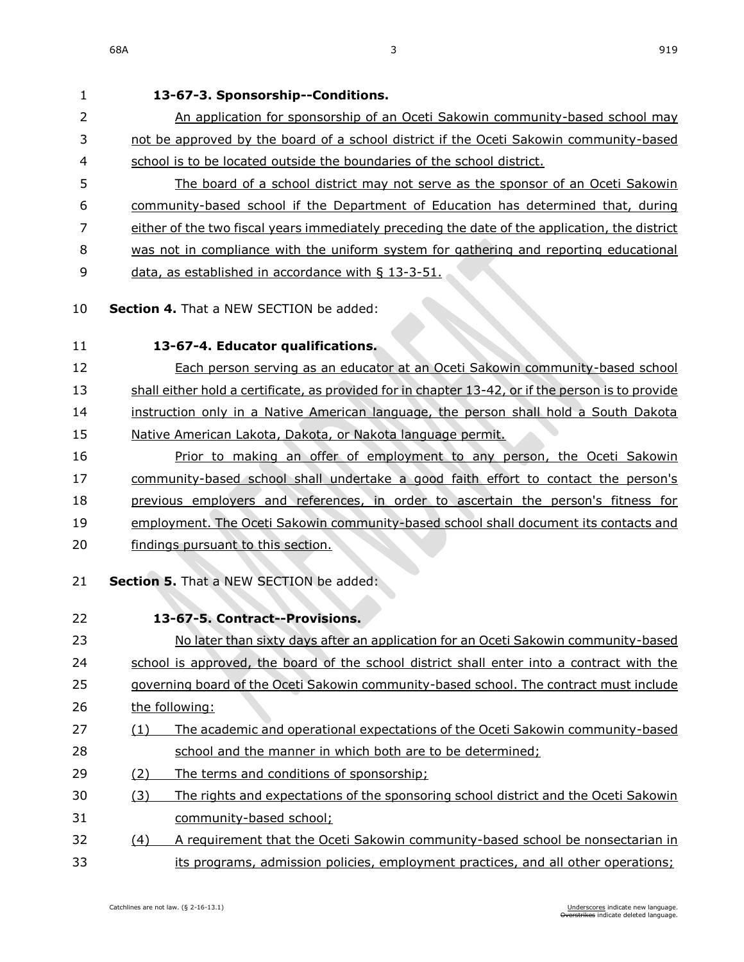**13-67-3. Sponsorship--Conditions.** 2 An application for sponsorship of an Oceti Sakowin community-based school may not be approved by the board of a school district if the Oceti Sakowin community-based school is to be located outside the boundaries of the school district. The board of a school district may not serve as the sponsor of an Oceti Sakowin community-based school if the Department of Education has determined that, during either of the two fiscal years immediately preceding the date of the application, the district was not in compliance with the uniform system for gathering and reporting educational 9 data, as established in accordance with § [13-3-51.](https://sdlegislature.gov/Statutes/Codified_Laws/DisplayStatute.aspx?Type=Statute&Statute=13-3-51) **Section 4.** That a NEW SECTION be added: **13-67-4. Educator qualifications.** Each person serving as an educator at an Oceti Sakowin community-based school shall either hold a certificate, as provided for in chapter [13-42,](https://sdlegislature.gov/Statutes/Codified_Laws/DisplayStatute.aspx?Type=Statute&Statute=13-42) or if the person is to provide instruction only in a Native American language, the person shall hold a South Dakota 15 Native American Lakota, Dakota, or Nakota language permit. Prior to making an offer of employment to any person, the Oceti Sakowin community-based school shall undertake a good faith effort to contact the person's previous employers and references, in order to ascertain the person's fitness for employment. The Oceti Sakowin community-based school shall document its contacts and findings pursuant to this section. **Section 5.** That a NEW SECTION be added: **13-67-5. Contract--Provisions.** No later than sixty days after an application for an Oceti Sakowin community-based school is approved, the board of the school district shall enter into a contract with the governing board of the Oceti Sakowin community-based school. The contract must include the following: (1) The academic and operational expectations of the Oceti Sakowin community-based school and the manner in which both are to be determined; (2) The terms and conditions of sponsorship; (3) The rights and expectations of the sponsoring school district and the Oceti Sakowin community-based school; (4) A requirement that the Oceti Sakowin community-based school be nonsectarian in

kes indicate deleted language.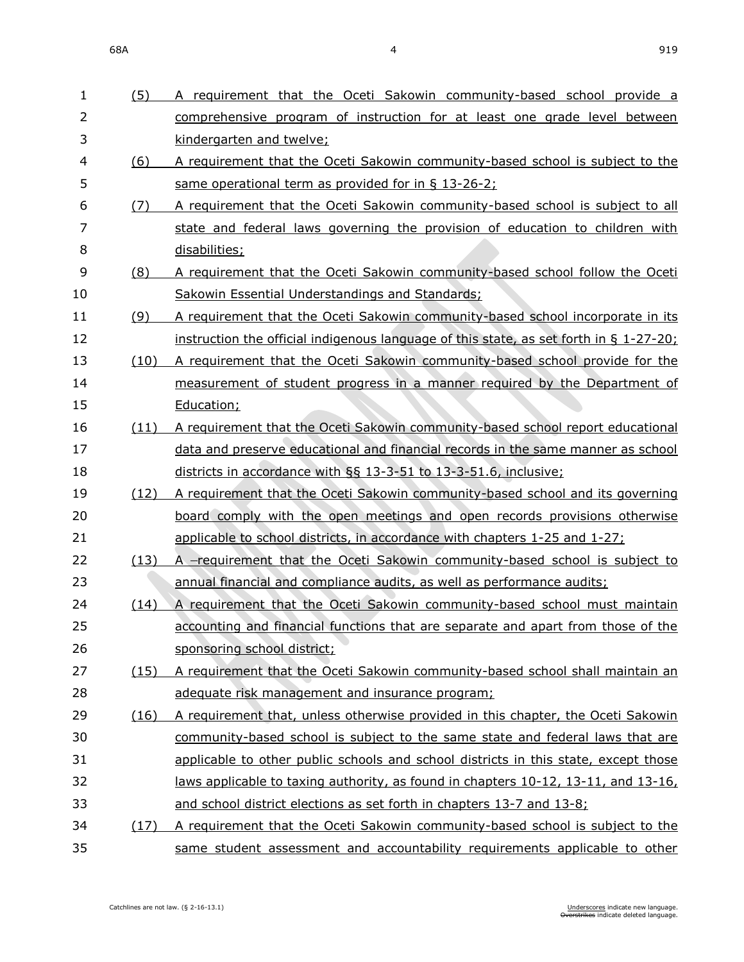(5) A requirement that the Oceti Sakowin community-based school provide a

| $\overline{2}$ |      | comprehensive program of instruction for at least one grade level between                 |
|----------------|------|-------------------------------------------------------------------------------------------|
| 3              |      | kindergarten and twelve;                                                                  |
| 4              | (6)  | A requirement that the Oceti Sakowin community-based school is subject to the             |
| 5              |      | same operational term as provided for in § 13-26-2;                                       |
| 6              | (7)  | A requirement that the Oceti Sakowin community-based school is subject to all             |
| $\overline{7}$ |      | state and federal laws governing the provision of education to children with              |
| 8              |      | disabilities;                                                                             |
| 9              | (8)  | A requirement that the Oceti Sakowin community-based school follow the Oceti              |
| 10             |      | Sakowin Essential Understandings and Standards;                                           |
| 11             | (9)  | A requirement that the Oceti Sakowin community-based school incorporate in its            |
| 12             |      | instruction the official indigenous language of this state, as set forth in $\S$ 1-27-20; |
| 13             | (10) | A requirement that the Oceti Sakowin community-based school provide for the               |
| 14             |      | measurement of student progress in a manner required by the Department of                 |
| 15             |      | Education;                                                                                |
| 16             | (11) | A requirement that the Oceti Sakowin community-based school report educational            |
| 17             |      | data and preserve educational and financial records in the same manner as school          |
| 18             |      | districts in accordance with §§ 13-3-51 to 13-3-51.6, inclusive;                          |
| 19             | (12) | A requirement that the Oceti Sakowin community-based school and its governing             |
| 20             |      | board comply with the open meetings and open records provisions otherwise                 |
| 21             |      | applicable to school districts, in accordance with chapters 1-25 and 1-27;                |
| 22             | (13) | A -requirement that the Oceti Sakowin community-based school is subject to                |
| 23             |      | annual financial and compliance audits, as well as performance audits;                    |
| 24             | (14) | A requirement that the Oceti Sakowin community-based school must maintain                 |
| 25             |      | accounting and financial functions that are separate and apart from those of the          |
| 26             |      | sponsoring school district;                                                               |
| 27             | (15) | A requirement that the Oceti Sakowin community-based school shall maintain an             |
| 28             |      | adequate risk management and insurance program;                                           |
| 29             | (16) | A requirement that, unless otherwise provided in this chapter, the Oceti Sakowin          |
| 30             |      | community-based school is subject to the same state and federal laws that are             |
| 31             |      | applicable to other public schools and school districts in this state, except those       |
| 32             |      | laws applicable to taxing authority, as found in chapters 10-12, 13-11, and 13-16,        |
| 33             |      | and school district elections as set forth in chapters 13-7 and 13-8;                     |
| 34             | (17) | A requirement that the Oceti Sakowin community-based school is subject to the             |
| 35             |      | same student assessment and accountability requirements applicable to other               |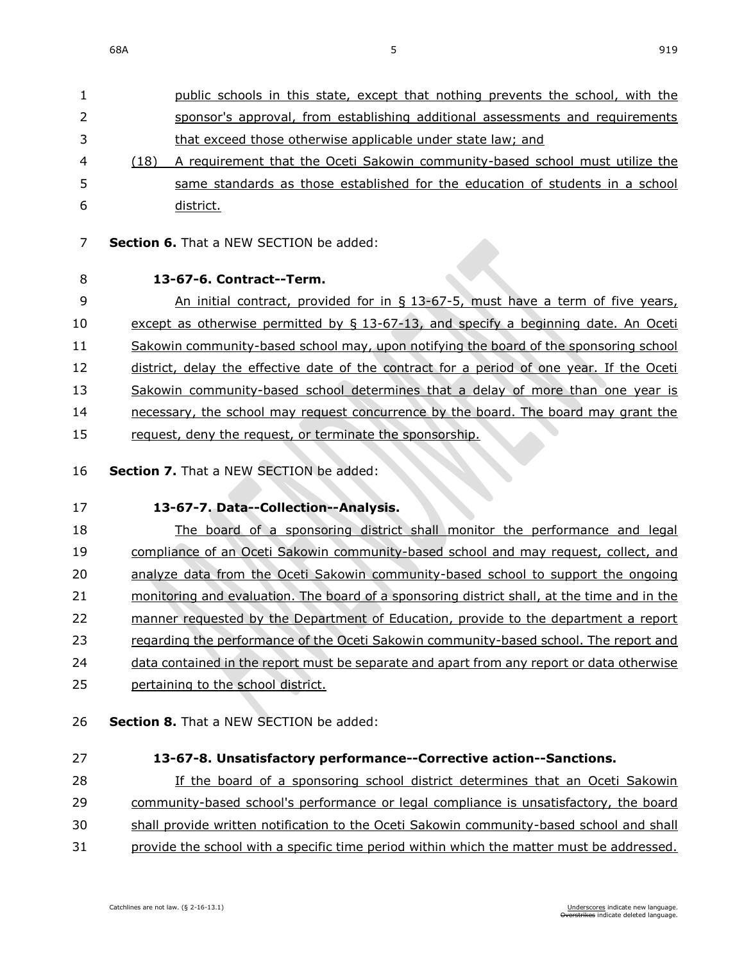| $\mathbf{1}$ |      | public schools in this state, except that nothing prevents the school, with the |
|--------------|------|---------------------------------------------------------------------------------|
| 2            |      | sponsor's approval, from establishing additional assessments and requirements   |
| 3            |      | that exceed those otherwise applicable under state law; and                     |
| 4            | (18) | A requirement that the Oceti Sakowin community-based school must utilize the    |
| 5.           |      | same standards as those established for the education of students in a school   |
| 6            |      | district.                                                                       |

- **Section 6.** That a NEW SECTION be added:
- 

#### **13-67-6. Contract--Term.**

9 An initial contract, provided for in § 13-67-5, must have a term of five years, 10 except as otherwise permitted by § 13-67-13, and specify a beginning date. An Oceti Sakowin community-based school may, upon notifying the board of the sponsoring school 12 district, delay the effective date of the contract for a period of one year. If the Oceti Sakowin community-based school determines that a delay of more than one year is 14 necessary, the school may request concurrence by the board. The board may grant the 15 request, deny the request, or terminate the sponsorship.

**Section 7.** That a NEW SECTION be added:

**13-67-7. Data--Collection--Analysis.**

 The board of a sponsoring district shall monitor the performance and legal compliance of an Oceti Sakowin community-based school and may request, collect, and analyze data from the Oceti Sakowin community-based school to support the ongoing monitoring and evaluation. The board of a sponsoring district shall, at the time and in the manner requested by the Department of Education, provide to the department a report regarding the performance of the Oceti Sakowin community-based school. The report and data contained in the report must be separate and apart from any report or data otherwise

- pertaining to the school district.
- **Section 8.** That a NEW SECTION be added:
- 

### **13-67-8. Unsatisfactory performance--Corrective action--Sanctions.**

If the board of a sponsoring school district determines that an Oceti Sakowin

community-based school's performance or legal compliance is unsatisfactory, the board

shall provide written notification to the Oceti Sakowin community-based school and shall

31 provide the school with a specific time period within which the matter must be addressed.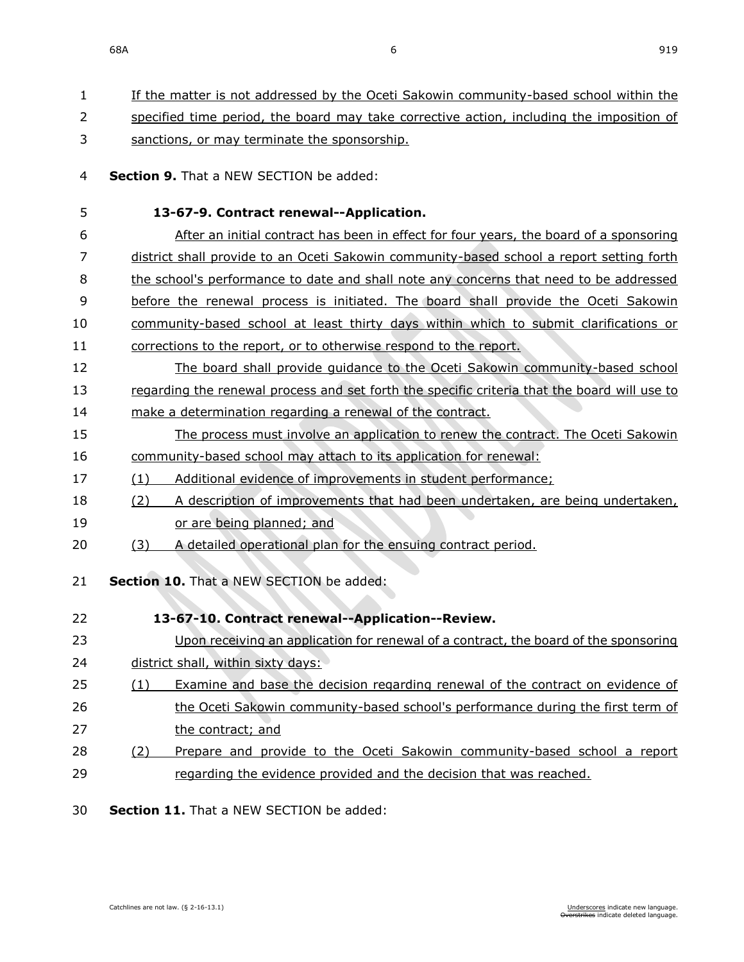| 1  | If the matter is not addressed by the Oceti Sakowin community-based school within the        |
|----|----------------------------------------------------------------------------------------------|
| 2  | specified time period, the board may take corrective action, including the imposition of     |
| 3  | sanctions, or may terminate the sponsorship.                                                 |
| 4  | Section 9. That a NEW SECTION be added:                                                      |
| 5  | 13-67-9. Contract renewal--Application.                                                      |
| 6  | After an initial contract has been in effect for four years, the board of a sponsoring       |
| 7  | district shall provide to an Oceti Sakowin community-based school a report setting forth     |
| 8  | the school's performance to date and shall note any concerns that need to be addressed       |
| 9  | before the renewal process is initiated. The board shall provide the Oceti Sakowin           |
| 10 | community-based school at least thirty days within which to submit clarifications or         |
| 11 | corrections to the report, or to otherwise respond to the report.                            |
| 12 | The board shall provide quidance to the Oceti Sakowin community-based school                 |
| 13 | regarding the renewal process and set forth the specific criteria that the board will use to |
| 14 | make a determination regarding a renewal of the contract.                                    |
| 15 | The process must involve an application to renew the contract. The Oceti Sakowin             |
| 16 | community-based school may attach to its application for renewal:                            |
| 17 | Additional evidence of improvements in student performance;<br>(1)                           |
| 18 | A description of improvements that had been undertaken, are being undertaken,<br>(2)         |
| 19 | or are being planned; and                                                                    |
| 20 | A detailed operational plan for the ensuing contract period.<br>(3)                          |
| 21 | Section 10. That a NEW SECTION be added:                                                     |
|    |                                                                                              |
| 22 | 13-67-10. Contract renewal--Application--Review.                                             |
| 23 | Upon receiving an application for renewal of a contract, the board of the sponsoring         |
| 24 | district shall, within sixty days:                                                           |
| 25 | Examine and base the decision regarding renewal of the contract on evidence of<br>(1)        |
| 26 | the Oceti Sakowin community-based school's performance during the first term of              |
| 27 | the contract; and                                                                            |
| 28 | Prepare and provide to the Oceti Sakowin community-based school a report<br>(2)              |
| 29 | regarding the evidence provided and the decision that was reached.                           |
|    |                                                                                              |

30 **Section 11.** That a NEW SECTION be added: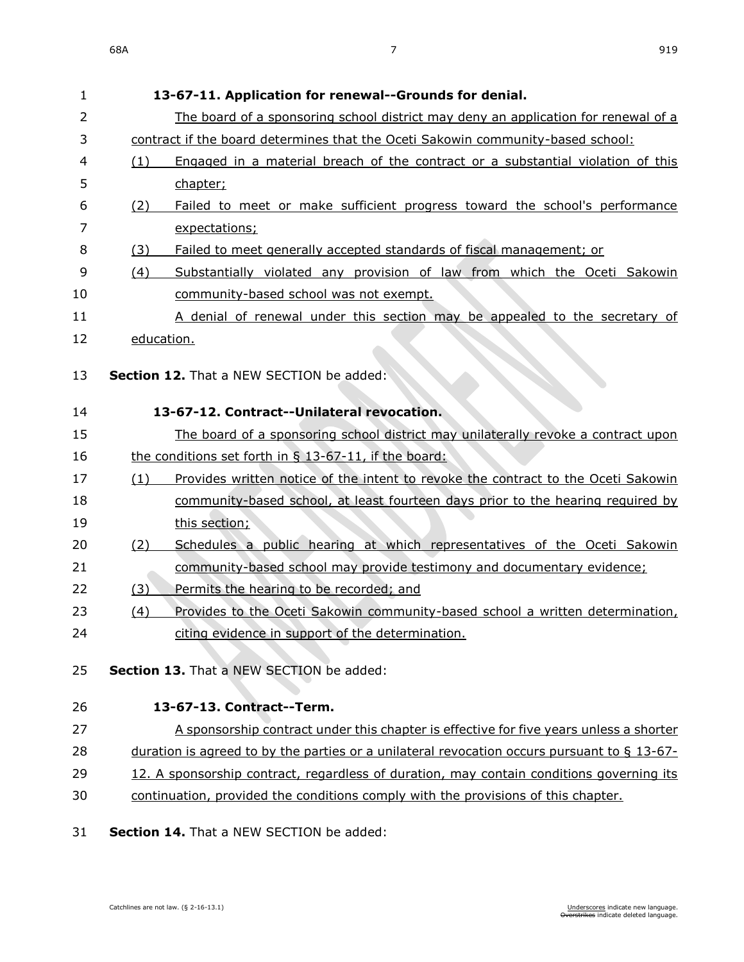| 1              | 13-67-11. Application for renewal--Grounds for denial.                                         |
|----------------|------------------------------------------------------------------------------------------------|
| $\overline{2}$ | The board of a sponsoring school district may deny an application for renewal of a             |
| 3              | contract if the board determines that the Oceti Sakowin community-based school:                |
| 4              | Engaged in a material breach of the contract or a substantial violation of this<br>(1)         |
| 5              | chapter;                                                                                       |
| 6              | Failed to meet or make sufficient progress toward the school's performance<br>(2)              |
| 7              | expectations;                                                                                  |
| 8              | Failed to meet generally accepted standards of fiscal management; or<br>(3)                    |
| 9              | Substantially violated any provision of law from which the Oceti Sakowin<br>(4)                |
| 10             | community-based school was not exempt.                                                         |
| 11             | A denial of renewal under this section may be appealed to the secretary of                     |
| 12             | education.                                                                                     |
|                |                                                                                                |
| 13             | <b>Section 12.</b> That a NEW SECTION be added:                                                |
| 14             | 13-67-12. Contract--Unilateral revocation.                                                     |
| 15             | The board of a sponsoring school district may unilaterally revoke a contract upon              |
| 16             | the conditions set forth in § 13-67-11, if the board:                                          |
| 17             | Provides written notice of the intent to revoke the contract to the Oceti Sakowin<br>(1)       |
| 18             | community-based school, at least fourteen days prior to the hearing required by                |
| 19             | this section;                                                                                  |
| 20             | Schedules a public hearing at which representatives of the Oceti Sakowin<br><u>(2)</u>         |
| 21             | community-based school may provide testimony and documentary evidence;                         |
| 22             | (3)<br>Permits the hearing to be recorded; and                                                 |
| 23             | Provides to the Oceti Sakowin community-based school a written determination,<br><u>(4)</u>    |
| 24             | citing evidence in support of the determination.                                               |
| 25             | Section 13. That a NEW SECTION be added:                                                       |
|                |                                                                                                |
| 26             | 13-67-13. Contract--Term.                                                                      |
| 27             | A sponsorship contract under this chapter is effective for five years unless a shorter         |
| 28             | duration is agreed to by the parties or a unilateral revocation occurs pursuant to $\S$ 13-67- |
| 29             | 12. A sponsorship contract, regardless of duration, may contain conditions governing its       |
| 30             | continuation, provided the conditions comply with the provisions of this chapter.              |
| 21             | Soction 14 That a NEW CECTION bo addod:                                                        |

#### **Section 14.** That a NEW SECTION be added: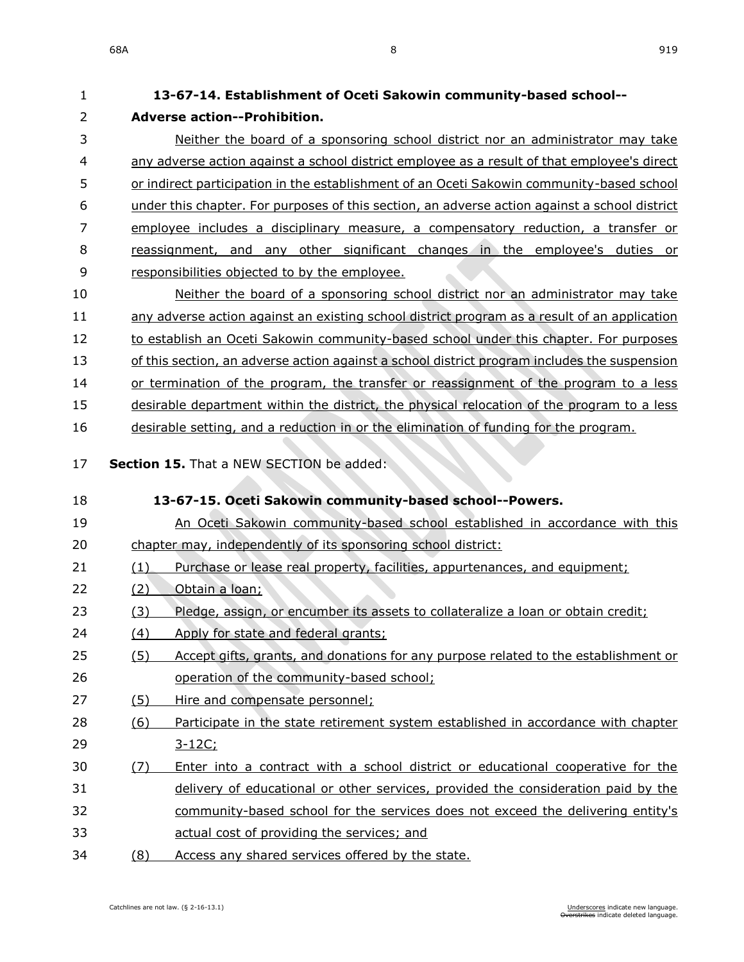**13-67-14. Establishment of Oceti Sakowin community-based school--**

| 2  | <b>Adverse action--Prohibition.</b>                                                           |
|----|-----------------------------------------------------------------------------------------------|
| 3  | Neither the board of a sponsoring school district nor an administrator may take               |
| 4  | any adverse action against a school district employee as a result of that employee's direct   |
| 5  | or indirect participation in the establishment of an Oceti Sakowin community-based school     |
| 6  | under this chapter. For purposes of this section, an adverse action against a school district |
| 7  | employee includes a disciplinary measure, a compensatory reduction, a transfer or             |
| 8  | reassignment, and any other significant changes in the employee's duties or                   |
| 9  | responsibilities objected to by the employee.                                                 |
| 10 | Neither the board of a sponsoring school district nor an administrator may take               |
| 11 | any adverse action against an existing school district program as a result of an application  |
| 12 | to establish an Oceti Sakowin community-based school under this chapter. For purposes         |
| 13 | of this section, an adverse action against a school district program includes the suspension  |
| 14 | or termination of the program, the transfer or reassignment of the program to a less          |
| 15 | desirable department within the district, the physical relocation of the program to a less    |
| 16 | desirable setting, and a reduction in or the elimination of funding for the program.          |
| 17 | Section 15. That a NEW SECTION be added:                                                      |
|    |                                                                                               |
| 18 | 13-67-15. Oceti Sakowin community-based school--Powers.                                       |
| 19 | An Oceti Sakowin community-based school established in accordance with this                   |
| 20 | chapter may, independently of its sponsoring school district:                                 |
| 21 | (1)<br>Purchase or lease real property, facilities, appurtenances, and equipment;             |
| 22 | (2)<br>Obtain a loan;                                                                         |
| 23 | Pledge, assign, or encumber its assets to collateralize a loan or obtain credit;<br>(3)       |
| 24 | (4)<br>Apply for state and federal grants;                                                    |
| 25 | Accept gifts, grants, and donations for any purpose related to the establishment or<br>(5)    |
| 26 | operation of the community-based school;                                                      |
| 27 | (5)<br>Hire and compensate personnel;                                                         |
| 28 | Participate in the state retirement system established in accordance with chapter<br>(6)      |
| 29 | $3 - 12C$ ;                                                                                   |
| 30 | Enter into a contract with a school district or educational cooperative for the<br>(7)        |
| 31 | delivery of educational or other services, provided the consideration paid by the             |
| 32 | community-based school for the services does not exceed the delivering entity's               |
| 33 | actual cost of providing the services; and                                                    |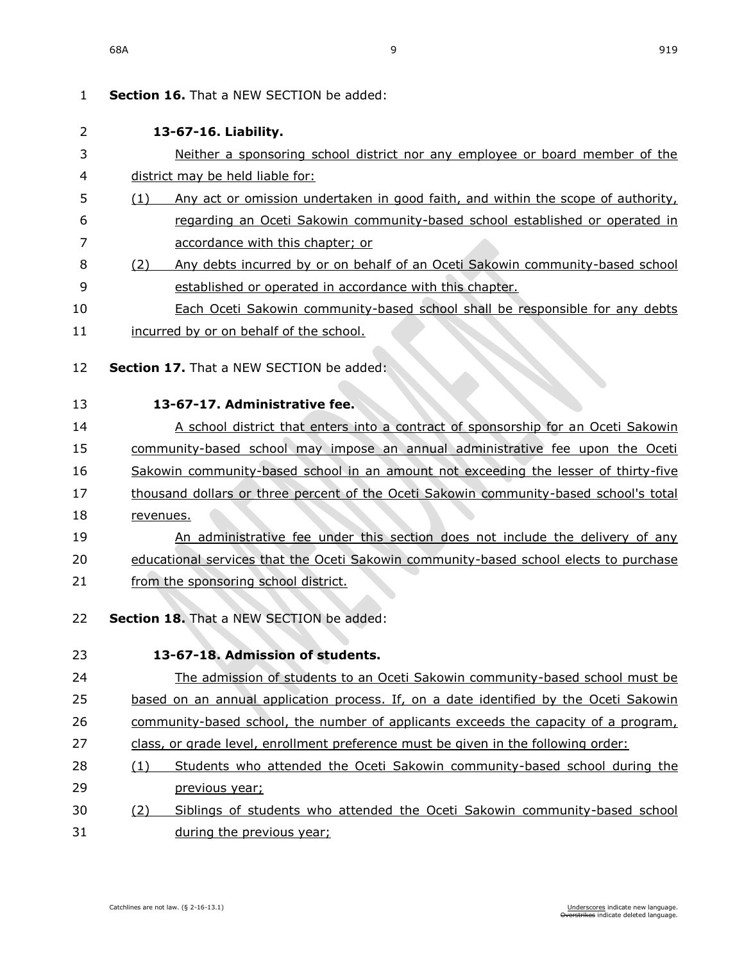| 1  | <b>Section 16.</b> That a NEW SECTION be added:                                         |
|----|-----------------------------------------------------------------------------------------|
| 2  | 13-67-16. Liability.                                                                    |
| 3  | Neither a sponsoring school district nor any employee or board member of the            |
| 4  | district may be held liable for:                                                        |
| 5  | Any act or omission undertaken in good faith, and within the scope of authority,<br>(1) |
| 6  | regarding an Oceti Sakowin community-based school established or operated in            |
| 7  | accordance with this chapter; or                                                        |
| 8  | Any debts incurred by or on behalf of an Oceti Sakowin community-based school<br>(2)    |
| 9  | established or operated in accordance with this chapter.                                |
| 10 | Each Oceti Sakowin community-based school shall be responsible for any debts            |
| 11 | incurred by or on behalf of the school.                                                 |
| 12 | Section 17. That a NEW SECTION be added:                                                |
|    |                                                                                         |
| 13 | 13-67-17. Administrative fee.                                                           |
| 14 | A school district that enters into a contract of sponsorship for an Oceti Sakowin       |
| 15 | community-based school may impose an annual administrative fee upon the Oceti           |
| 16 | Sakowin community-based school in an amount not exceeding the lesser of thirty-five     |
| 17 | thousand dollars or three percent of the Oceti Sakowin community-based school's total   |
| 18 | revenues.                                                                               |
| 19 | An administrative fee under this section does not include the delivery of any           |
| 20 | educational services that the Oceti Sakowin community-based school elects to purchase   |
| 21 | from the sponsoring school district.                                                    |
| 22 | Section 18. That a NEW SECTION be added:                                                |
| 23 | 13-67-18. Admission of students.                                                        |
| 24 | The admission of students to an Oceti Sakowin community-based school must be            |
| 25 | based on an annual application process. If, on a date identified by the Oceti Sakowin   |
| 26 | community-based school, the number of applicants exceeds the capacity of a program,     |
| 27 | class, or grade level, enrollment preference must be given in the following order:      |
| 28 | Students who attended the Oceti Sakowin community-based school during the<br>(1)        |
| 29 | previous year;                                                                          |
| 30 | Siblings of students who attended the Oceti Sakowin community-based school<br>(2)       |
| 31 | during the previous year;                                                               |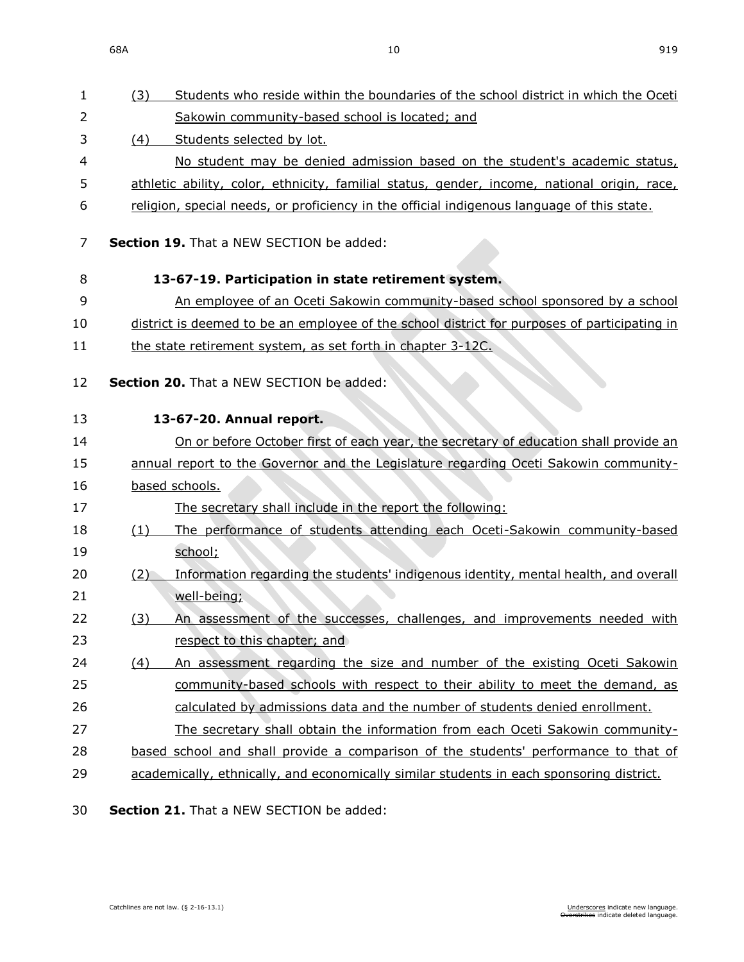68A 10 919

| 1      | Students who reside within the boundaries of the school district in which the Oceti<br>(3)   |
|--------|----------------------------------------------------------------------------------------------|
| 2      | Sakowin community-based school is located; and                                               |
| 3      | Students selected by lot.<br>(4)                                                             |
| 4      | No student may be denied admission based on the student's academic status,                   |
| 5      | athletic ability, color, ethnicity, familial status, gender, income, national origin, race,  |
| 6      | religion, special needs, or proficiency in the official indigenous language of this state.   |
| 7      | <b>Section 19.</b> That a NEW SECTION be added:                                              |
| 8      | 13-67-19. Participation in state retirement system.                                          |
| 9      | An employee of an Oceti Sakowin community-based school sponsored by a school                 |
| 10     | district is deemed to be an employee of the school district for purposes of participating in |
| 11     | the state retirement system, as set forth in chapter 3-12C.                                  |
| 12     | <b>Section 20.</b> That a NEW SECTION be added:                                              |
| 13     | 13-67-20. Annual report.                                                                     |
| 14     | On or before October first of each year, the secretary of education shall provide an         |
| 15     | annual report to the Governor and the Legislature regarding Oceti Sakowin community-         |
| 16     | based schools.                                                                               |
| 17     | The secretary shall include in the report the following:                                     |
| 18     | The performance of students attending each Oceti-Sakowin community-based<br>(1)              |
| 19     | school;                                                                                      |
| 20     | Information regarding the students' indigenous identity, mental health, and overall<br>(2)   |
| 21     | well-being;                                                                                  |
| 22     | An assessment of the successes, challenges, and improvements needed with<br>(3)              |
| 23     | respect to this chapter; and                                                                 |
| 24     | An assessment regarding the size and number of the existing Oceti Sakowin<br>(4)             |
| 25     | community-based schools with respect to their ability to meet the demand, as                 |
| 26     | calculated by admissions data and the number of students denied enrollment.                  |
| 27     | The secretary shall obtain the information from each Oceti Sakowin community-                |
| 28     | based school and shall provide a comparison of the students' performance to that of          |
| 29     | academically, ethnically, and economically similar students in each sponsoring district.     |
| $\sim$ |                                                                                              |

30 **Section 21.** That a NEW SECTION be added: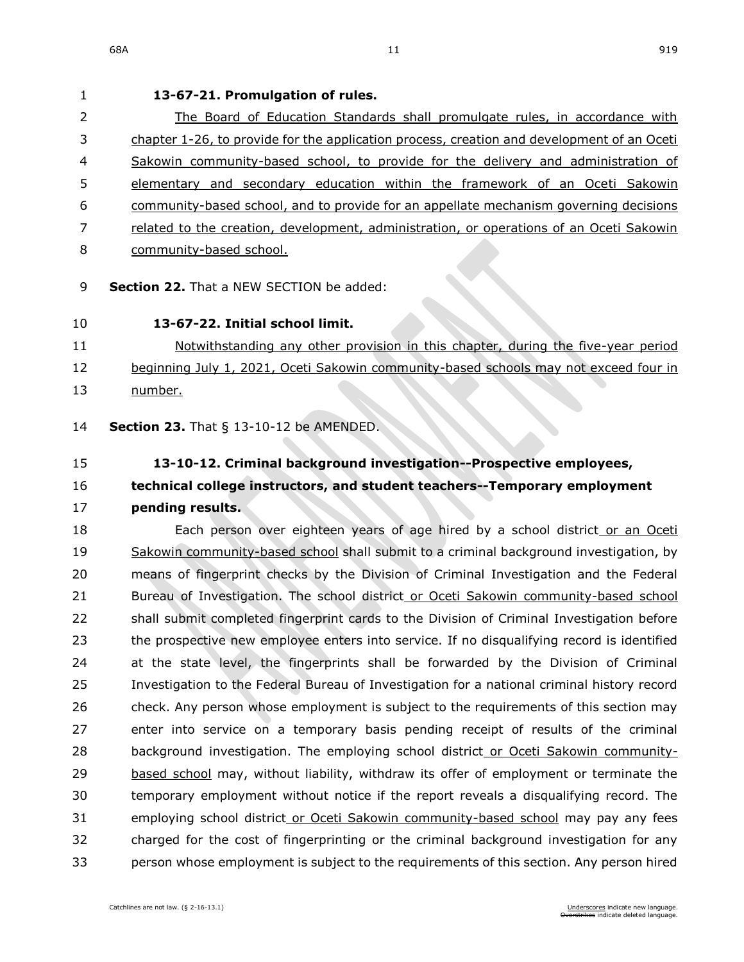# **13-67-21. Promulgation of rules.** 2 The Board of Education Standards shall promulgate rules, in accordance with chapter [1-26,](https://sdlegislature.gov/Statutes/Codified_Laws/DisplayStatute.aspx?Type=Statute&Statute=1-26) to provide for the application process, creation and development of an Oceti Sakowin community-based school, to provide for the delivery and administration of elementary and secondary education within the framework of an Oceti Sakowin community-based school, and to provide for an appellate mechanism governing decisions related to the creation, development, administration, or operations of an Oceti Sakowin community-based school. **Section 22.** That a NEW SECTION be added: **13-67-22. Initial school limit.** Notwithstanding any other provision in this chapter, during the five-year period 12 beginning July 1, 2021, Oceti Sakowin community-based schools may not exceed four in number. **Section 23.** [That § 13-10-12 be AMENDED.](https://sdlegislature.gov/Statutes/Codified_Laws/DisplayStatute.aspx?Type=Statute&Statute=13-10-12) **[13-10-12. C](https://sdlegislature.gov/Statutes/Codified_Laws/DisplayStatute.aspx?Type=Statute&Statute=13-10-12)riminal background investigation--Prospective employees, technical college instructors, and student teachers--Temporary employment pending results.** 18 Each person over eighteen years of age hired by a school district or an Oceti Sakowin community-based school shall submit to a criminal background investigation, by means of fingerprint checks by the Division of Criminal Investigation and the Federal Bureau of Investigation. The school district or Oceti Sakowin community-based school shall submit completed fingerprint cards to the Division of Criminal Investigation before the prospective new employee enters into service. If no disqualifying record is identified at the state level, the fingerprints shall be forwarded by the Division of Criminal Investigation to the Federal Bureau of Investigation for a national criminal history record check. Any person whose employment is subject to the requirements of this section may

 enter into service on a temporary basis pending receipt of results of the criminal background investigation. The employing school district or Oceti Sakowin community- based school may, without liability, withdraw its offer of employment or terminate the temporary employment without notice if the report reveals a disqualifying record. The 31 employing school district or Oceti Sakowin community-based school may pay any fees charged for the cost of fingerprinting or the criminal background investigation for any person whose employment is subject to the requirements of this section. Any person hired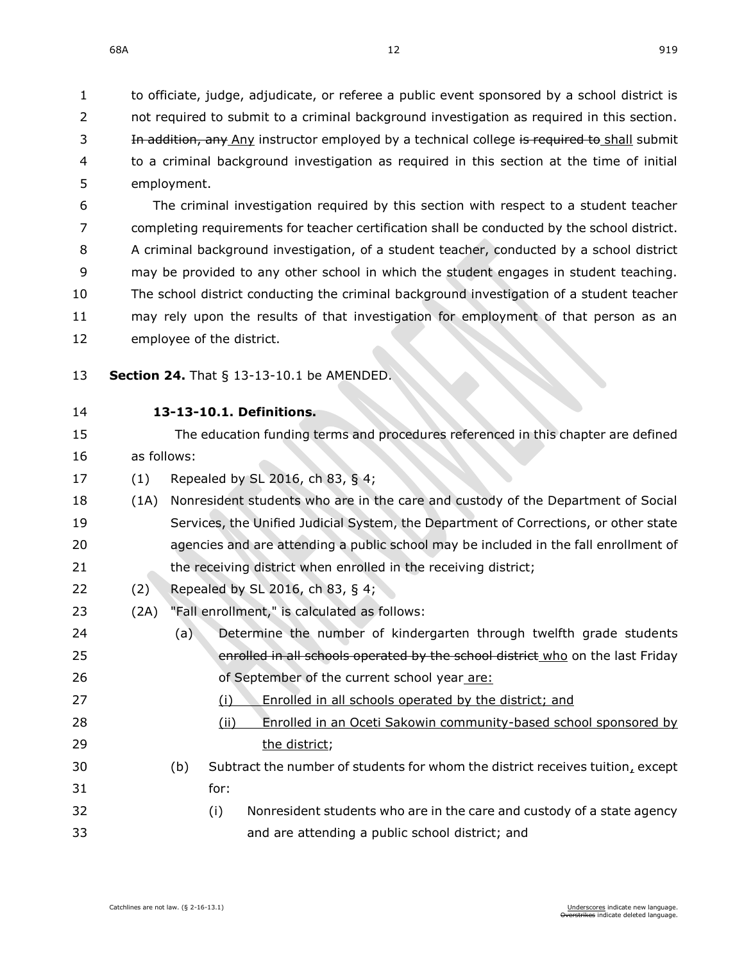to officiate, judge, adjudicate, or referee a public event sponsored by a school district is 2 not required to submit to a criminal background investigation as required in this section. 3 In addition, any Any instructor employed by a technical college is required to shall submit to a criminal background investigation as required in this section at the time of initial employment.

 The criminal investigation required by this section with respect to a student teacher completing requirements for teacher certification shall be conducted by the school district. A criminal background investigation, of a student teacher, conducted by a school district may be provided to any other school in which the student engages in student teaching. The school district conducting the criminal background investigation of a student teacher may rely upon the results of that investigation for employment of that person as an employee of the district.

- **Section 24.** [That § 13-13-10.1 be AMENDED.](https://sdlegislature.gov/Statutes/Codified_Laws/DisplayStatute.aspx?Type=Statute&Statute=13-13-10.1)
- 

## **[13-13-10.1. D](https://sdlegislature.gov/Statutes/Codified_Laws/DisplayStatute.aspx?Type=Statute&Statute=13-13-10.1)efinitions.**

- The education funding terms and procedures referenced in this chapter are defined as follows:
- (1) Repealed by SL 2016, ch 83, § 4;
- (1A) Nonresident students who are in the care and custody of the Department of Social Services, the Unified Judicial System, the Department of Corrections, or other state agencies and are attending a public school may be included in the fall enrollment of 21 the receiving district when enrolled in the receiving district;
- (2) Repealed by SL 2016, ch 83, § 4;
- (2A) "Fall enrollment," is calculated as follows:
- (a) Determine the number of kindergarten through twelfth grade students 25 enrolled in all schools operated by the school district who on the last Friday of September of the current school year are:
- (i) Enrolled in all schools operated by the district; and
- (ii) Enrolled in an Oceti Sakowin community-based school sponsored by 29 the district:
- (b) Subtract the number of students for whom the district receives tuition, except for:
- (i) Nonresident students who are in the care and custody of a state agency and are attending a public school district; and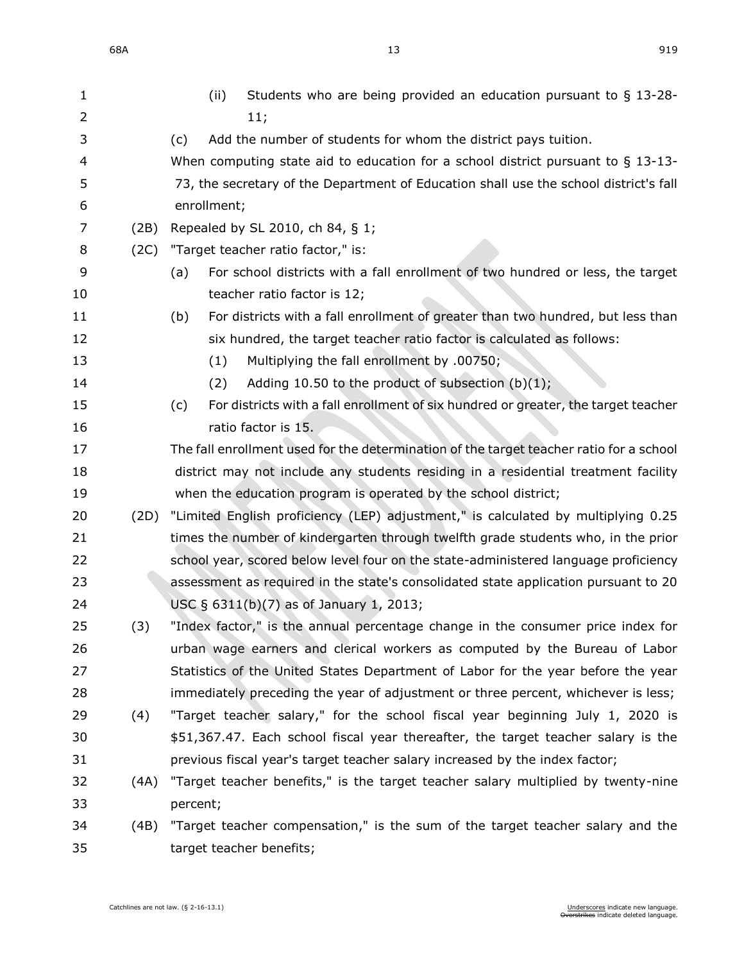| 1              |      | Students who are being provided an education pursuant to $\S$ 13-28-<br>(ii)              |
|----------------|------|-------------------------------------------------------------------------------------------|
| $\overline{2}$ |      | 11;                                                                                       |
| 3              |      | Add the number of students for whom the district pays tuition.<br>(c)                     |
| 4              |      | When computing state aid to education for a school district pursuant to $\S$ 13-13-       |
| 5              |      | 73, the secretary of the Department of Education shall use the school district's fall     |
| 6              |      | enrollment;                                                                               |
| 7              | (2B) | Repealed by SL 2010, ch 84, § 1;                                                          |
| 8              | (2C) | "Target teacher ratio factor," is:                                                        |
| 9              |      | For school districts with a fall enrollment of two hundred or less, the target<br>(a)     |
| 10             |      | teacher ratio factor is 12;                                                               |
| 11             |      | For districts with a fall enrollment of greater than two hundred, but less than<br>(b)    |
| 12             |      | six hundred, the target teacher ratio factor is calculated as follows:                    |
| 13             |      | Multiplying the fall enrollment by .00750;<br>(1)                                         |
| 14             |      | Adding 10.50 to the product of subsection $(b)(1)$ ;<br>(2)                               |
| 15             |      | For districts with a fall enrollment of six hundred or greater, the target teacher<br>(c) |
| 16             |      | ratio factor is 15.                                                                       |
| 17             |      | The fall enrollment used for the determination of the target teacher ratio for a school   |
| 18             |      | district may not include any students residing in a residential treatment facility        |
| 19             |      | when the education program is operated by the school district;                            |
| 20             | (2D) | "Limited English proficiency (LEP) adjustment," is calculated by multiplying 0.25         |
| 21             |      | times the number of kindergarten through twelfth grade students who, in the prior         |
| 22             |      | school year, scored below level four on the state-administered language proficiency       |
| 23             |      | assessment as required in the state's consolidated state application pursuant to 20       |
| 24             |      | USC § 6311(b)(7) as of January 1, 2013;                                                   |
| 25             | (3)  | "Index factor," is the annual percentage change in the consumer price index for           |
| 26             |      | urban wage earners and clerical workers as computed by the Bureau of Labor                |
| 27             |      | Statistics of the United States Department of Labor for the year before the year          |
| 28             |      | immediately preceding the year of adjustment or three percent, whichever is less;         |
| 29             | (4)  | "Target teacher salary," for the school fiscal year beginning July 1, 2020 is             |
| 30             |      | \$51,367.47. Each school fiscal year thereafter, the target teacher salary is the         |
| 31             |      | previous fiscal year's target teacher salary increased by the index factor;               |
| 32             | (4A) | "Target teacher benefits," is the target teacher salary multiplied by twenty-nine         |
| 33             |      | percent;                                                                                  |
| 34             | (4B) | "Target teacher compensation," is the sum of the target teacher salary and the            |
| 35             |      | target teacher benefits;                                                                  |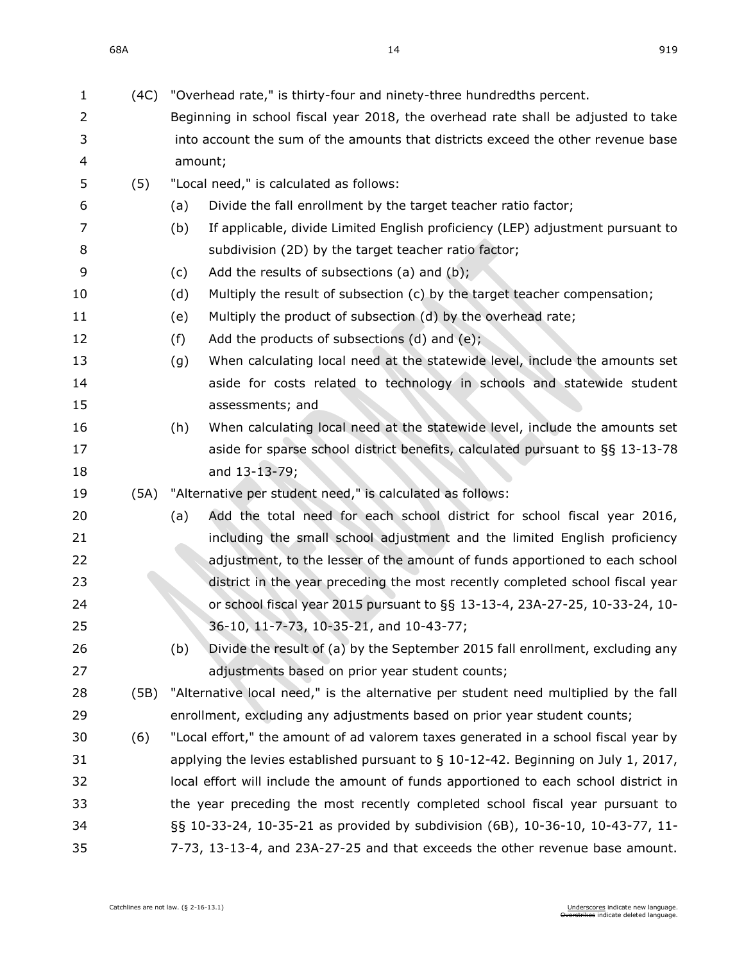| 1  | (4C) | "Overhead rate," is thirty-four and ninety-three hundredths percent.                  |
|----|------|---------------------------------------------------------------------------------------|
| 2  |      | Beginning in school fiscal year 2018, the overhead rate shall be adjusted to take     |
| 3  |      | into account the sum of the amounts that districts exceed the other revenue base      |
| 4  |      | amount;                                                                               |
| 5  | (5)  | "Local need," is calculated as follows:                                               |
| 6  |      | Divide the fall enrollment by the target teacher ratio factor;<br>(a)                 |
| 7  |      | If applicable, divide Limited English proficiency (LEP) adjustment pursuant to<br>(b) |
| 8  |      | subdivision (2D) by the target teacher ratio factor;                                  |
| 9  |      | Add the results of subsections (a) and (b);<br>(c)                                    |
| 10 |      | Multiply the result of subsection (c) by the target teacher compensation;<br>(d)      |
| 11 |      | Multiply the product of subsection (d) by the overhead rate;<br>(e)                   |
| 12 |      | Add the products of subsections (d) and (e);<br>(f)                                   |
| 13 |      | When calculating local need at the statewide level, include the amounts set<br>(g)    |
| 14 |      | aside for costs related to technology in schools and statewide student                |
| 15 |      | assessments; and                                                                      |
| 16 |      | When calculating local need at the statewide level, include the amounts set<br>(h)    |
| 17 |      | aside for sparse school district benefits, calculated pursuant to §§ 13-13-78         |
| 18 |      | and 13-13-79;                                                                         |
| 19 | (5A) | "Alternative per student need," is calculated as follows:                             |
| 20 |      | Add the total need for each school district for school fiscal year 2016,<br>(a)       |
| 21 |      | including the small school adjustment and the limited English proficiency             |
| 22 |      | adjustment, to the lesser of the amount of funds apportioned to each school           |
| 23 |      | district in the year preceding the most recently completed school fiscal year         |
| 24 |      | or school fiscal year 2015 pursuant to §§ 13-13-4, 23A-27-25, 10-33-24, 10-           |
| 25 |      | 36-10, 11-7-73, 10-35-21, and 10-43-77;                                               |
| 26 |      | Divide the result of (a) by the September 2015 fall enrollment, excluding any<br>(b)  |
| 27 |      | adjustments based on prior year student counts;                                       |
| 28 | (5B) | "Alternative local need," is the alternative per student need multiplied by the fall  |
| 29 |      | enrollment, excluding any adjustments based on prior year student counts;             |
| 30 | (6)  | "Local effort," the amount of ad valorem taxes generated in a school fiscal year by   |
| 31 |      | applying the levies established pursuant to $\S$ 10-12-42. Beginning on July 1, 2017, |
| 32 |      | local effort will include the amount of funds apportioned to each school district in  |
| 33 |      | the year preceding the most recently completed school fiscal year pursuant to         |
| 34 |      | §§ 10-33-24, 10-35-21 as provided by subdivision (6B), 10-36-10, 10-43-77, 11-        |
| 35 |      | 7-73, 13-13-4, and 23A-27-25 and that exceeds the other revenue base amount.          |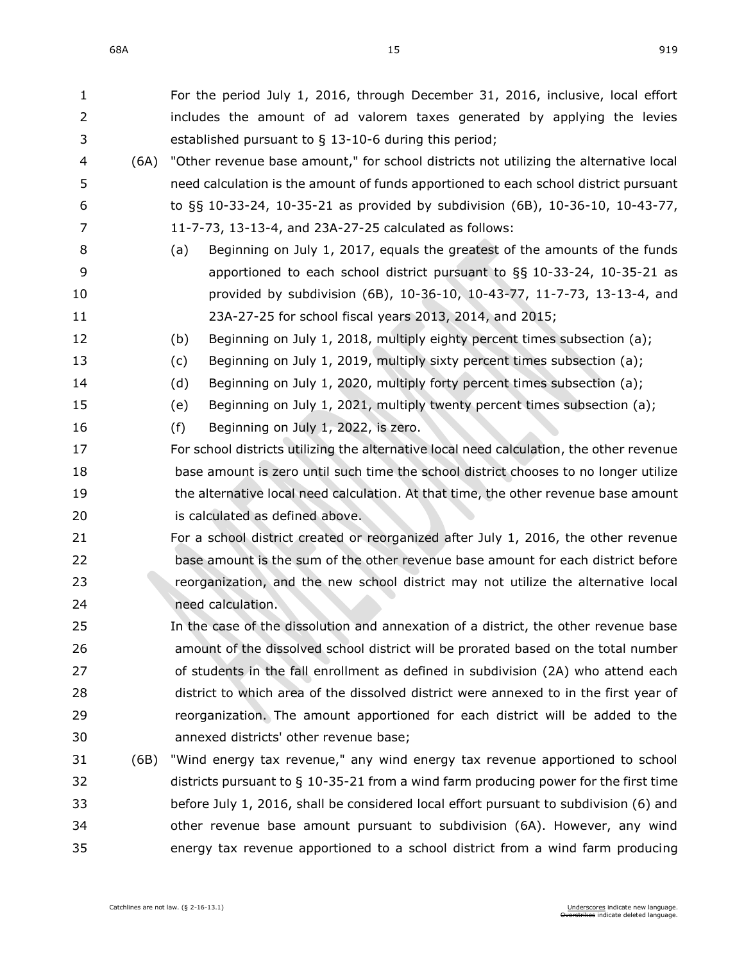| $\mathbf{1}$ |      | For the period July 1, 2016, through December 31, 2016, inclusive, local effort          |
|--------------|------|------------------------------------------------------------------------------------------|
| 2            |      | includes the amount of ad valorem taxes generated by applying the levies                 |
| 3            |      | established pursuant to $\S$ 13-10-6 during this period;                                 |
| 4            | (6A) | "Other revenue base amount," for school districts not utilizing the alternative local    |
| 5            |      | need calculation is the amount of funds apportioned to each school district pursuant     |
| 6            |      | to §§ 10-33-24, 10-35-21 as provided by subdivision (6B), 10-36-10, 10-43-77,            |
| 7            |      | 11-7-73, 13-13-4, and 23A-27-25 calculated as follows:                                   |
| 8            |      | Beginning on July 1, 2017, equals the greatest of the amounts of the funds<br>(a)        |
| 9            |      | apportioned to each school district pursuant to $\S$ § 10-33-24, 10-35-21 as             |
| 10           |      | provided by subdivision (6B), 10-36-10, 10-43-77, 11-7-73, 13-13-4, and                  |
| 11           |      | 23A-27-25 for school fiscal years 2013, 2014, and 2015;                                  |
| 12           |      | Beginning on July 1, 2018, multiply eighty percent times subsection (a);<br>(b)          |
| 13           |      | Beginning on July 1, 2019, multiply sixty percent times subsection (a);<br>(c)           |
| 14           |      | Beginning on July 1, 2020, multiply forty percent times subsection (a);<br>(d)           |
| 15           |      | Beginning on July 1, 2021, multiply twenty percent times subsection (a);<br>(e)          |
| 16           |      | Beginning on July 1, 2022, is zero.<br>(f)                                               |
| 17           |      | For school districts utilizing the alternative local need calculation, the other revenue |
| 18           |      | base amount is zero until such time the school district chooses to no longer utilize     |
| 19           |      | the alternative local need calculation. At that time, the other revenue base amount      |
| 20           |      | is calculated as defined above.                                                          |
| 21           |      | For a school district created or reorganized after July 1, 2016, the other revenue       |
| 22           |      | base amount is the sum of the other revenue base amount for each district before         |
| 23           |      | reorganization, and the new school district may not utilize the alternative local        |
| 24           |      | need calculation.                                                                        |
| 25           |      | In the case of the dissolution and annexation of a district, the other revenue base      |
| 26           |      | amount of the dissolved school district will be prorated based on the total number       |
| 27           |      | of students in the fall enrollment as defined in subdivision (2A) who attend each        |
| 28           |      | district to which area of the dissolved district were annexed to in the first year of    |
| 29           |      | reorganization. The amount apportioned for each district will be added to the            |
| 30           |      | annexed districts' other revenue base;                                                   |
| 31           | (6B) | "Wind energy tax revenue," any wind energy tax revenue apportioned to school             |
| 32           |      | districts pursuant to $\S$ 10-35-21 from a wind farm producing power for the first time  |
| 33           |      | before July 1, 2016, shall be considered local effort pursuant to subdivision (6) and    |
| 34           |      | other revenue base amount pursuant to subdivision (6A). However, any wind                |
| 35           |      | energy tax revenue apportioned to a school district from a wind farm producing           |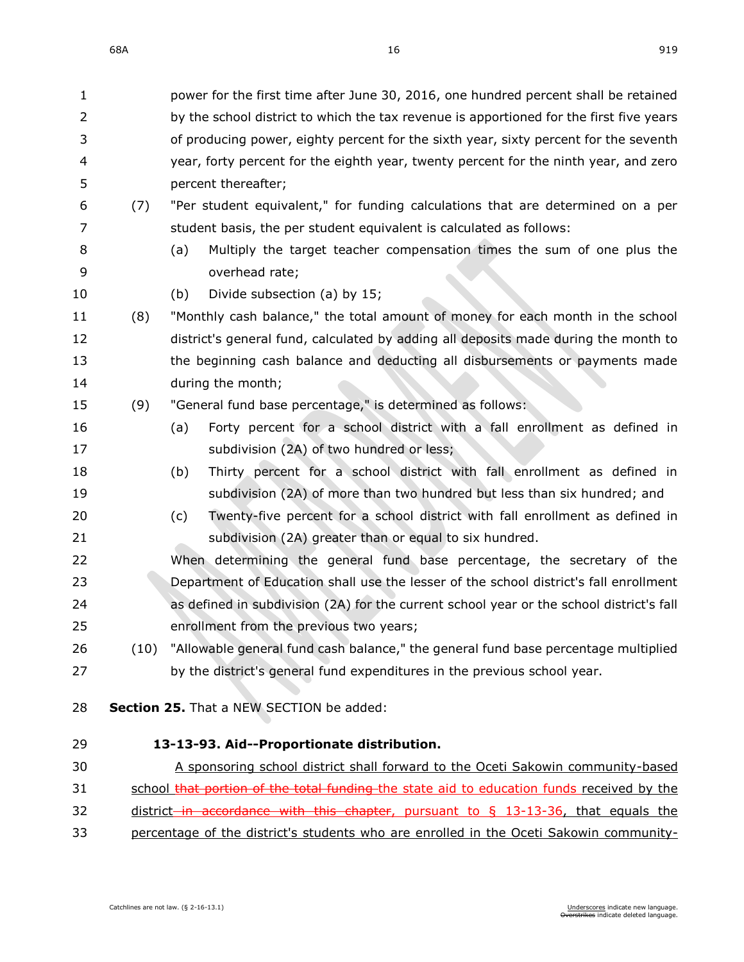| $\mathbf 1$ |      | power for the first time after June 30, 2016, one hundred percent shall be retained       |
|-------------|------|-------------------------------------------------------------------------------------------|
| 2           |      | by the school district to which the tax revenue is apportioned for the first five years   |
| 3           |      | of producing power, eighty percent for the sixth year, sixty percent for the seventh      |
| 4           |      | year, forty percent for the eighth year, twenty percent for the ninth year, and zero      |
| 5           |      | percent thereafter;                                                                       |
| 6           | (7)  | "Per student equivalent," for funding calculations that are determined on a per           |
| 7           |      | student basis, the per student equivalent is calculated as follows:                       |
| 8           |      | Multiply the target teacher compensation times the sum of one plus the<br>(a)             |
| 9           |      | overhead rate;                                                                            |
| 10          |      | Divide subsection (a) by 15;<br>(b)                                                       |
| 11          | (8)  | "Monthly cash balance," the total amount of money for each month in the school            |
| 12          |      | district's general fund, calculated by adding all deposits made during the month to       |
| 13          |      | the beginning cash balance and deducting all disbursements or payments made               |
| 14          |      | during the month;                                                                         |
| 15          | (9)  | "General fund base percentage," is determined as follows:                                 |
| 16          |      | Forty percent for a school district with a fall enrollment as defined in<br>(a)           |
| 17          |      | subdivision (2A) of two hundred or less;                                                  |
| 18          |      | Thirty percent for a school district with fall enrollment as defined in<br>(b)            |
| 19          |      | subdivision (2A) of more than two hundred but less than six hundred; and                  |
| 20          |      | Twenty-five percent for a school district with fall enrollment as defined in<br>(c)       |
| 21          |      | subdivision (2A) greater than or equal to six hundred.                                    |
| 22          |      | When determining the general fund base percentage, the secretary of the                   |
| 23          |      | Department of Education shall use the lesser of the school district's fall enrollment     |
| 24          |      | as defined in subdivision (2A) for the current school year or the school district's fall  |
| 25          |      | enrollment from the previous two years;                                                   |
| 26          | (10) | "Allowable general fund cash balance," the general fund base percentage multiplied        |
| 27          |      | by the district's general fund expenditures in the previous school year.                  |
|             |      |                                                                                           |
| 28          |      | Section 25. That a NEW SECTION be added:                                                  |
| 29          |      | 13-13-93. Aid--Proportionate distribution.                                                |
| 30          |      | A sponsoring school district shall forward to the Oceti Sakowin community-based           |
| 31          |      | school that portion of the total funding the state aid to education funds received by the |

32 district in accordance with this chapter, pursuant to § [13-13-36,](https://sdlegislature.gov/Statutes/Codified_Laws/DisplayStatute.aspx?Type=Statute&Statute=13-13-36) that equals the 33 percentage of the district's students who are enrolled in the Oceti Sakowin community-